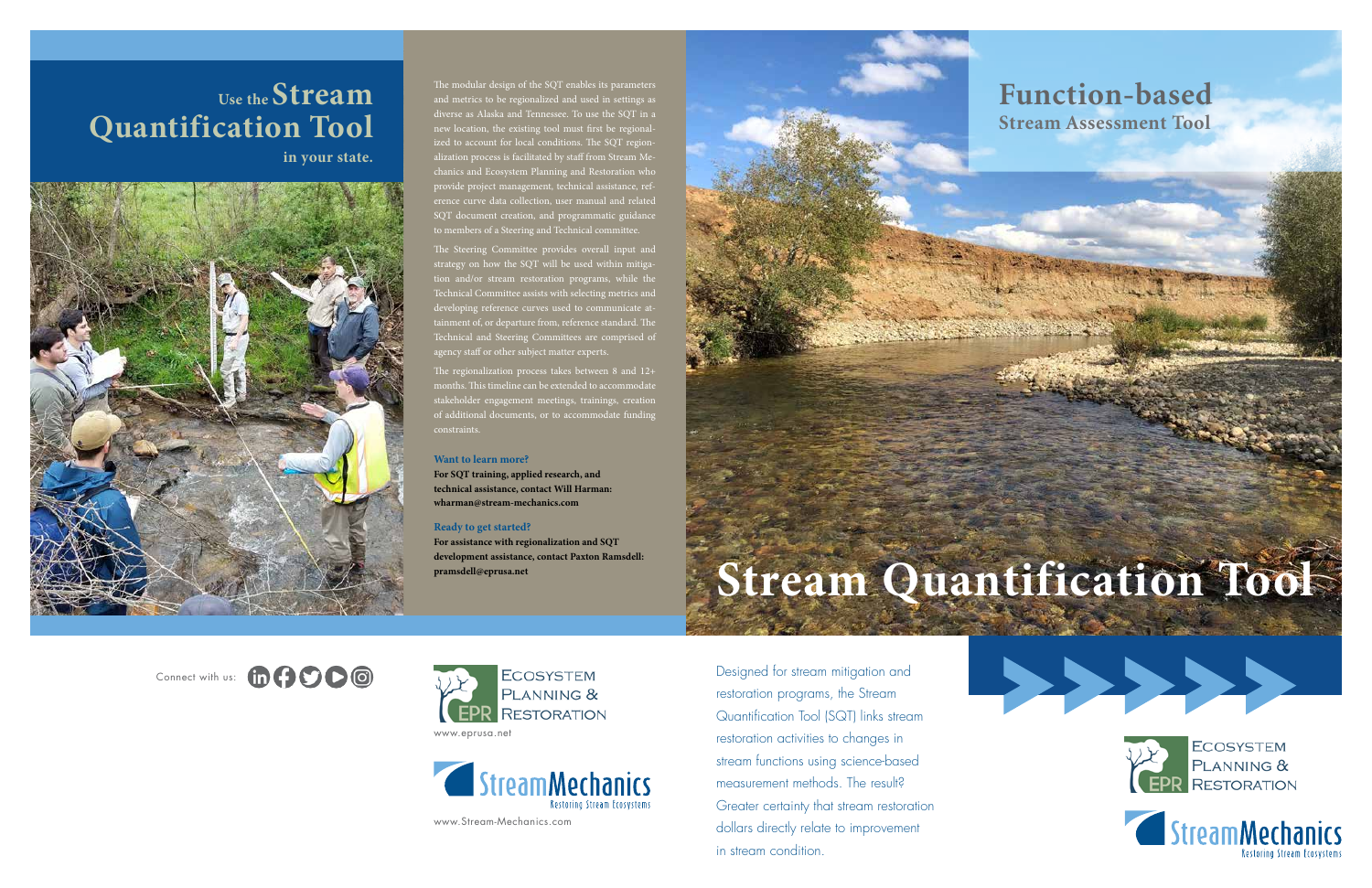The modular design of the SQT enables its parameters and metrics to be regionalized and used in settings as diverse as Alaska and Tennessee. To use the SQT in a new location, the existing tool must first be regionalized to account for local conditions. The SQT regionalization process is facilitated by staff from Stream Mechanics and Ecosystem Planning and Restoration who provide project management, technical assistance, reference curve data collection, user manual and related SQT document creation, and programmatic guidance to members of a Steering and Technical committee.

The Steering Committee provides overall input and strategy on how the SQT will be used within mitigation and/or stream restoration programs, while the Technical Committee assists with selecting metrics and developing reference curves used to communicate attainment of, or departure from, reference standard. The Technical and Steering Committees are comprised of agency staff or other subject matter experts.

The regionalization process takes between 8 and 12+ months. This timeline can be extended to accommodate stakeholder engagement meetings, trainings, creation of additional documents, or to accommodate funding constraints.

#### **Want to learn more?**

**For SQT training, applied research, and technical assistance, contact Will Harman: wharman@stream-mechanics.com**

#### **Ready to get started?**

**For assistance with regionalization and SQT development assistance, contact Paxton Ramsdell: pramsdell@eprusa.net**



Connect with us: the COO



Designed for stream mitigation and restoration programs, the Stream Quantification Tool (SQT) links stream restoration activities to changes in stream functions using science-based measurement methods. The result? Greater certainty that stream restoration dollars directly relate to improvement in stream condition.

# **Use the Stream Quantification Tool**

**in your state.**



# **Stream Quantification Tool**





## **Function-based Stream Assessment Tool**

www.eprusa.net



www.Stream-Mechanics.com